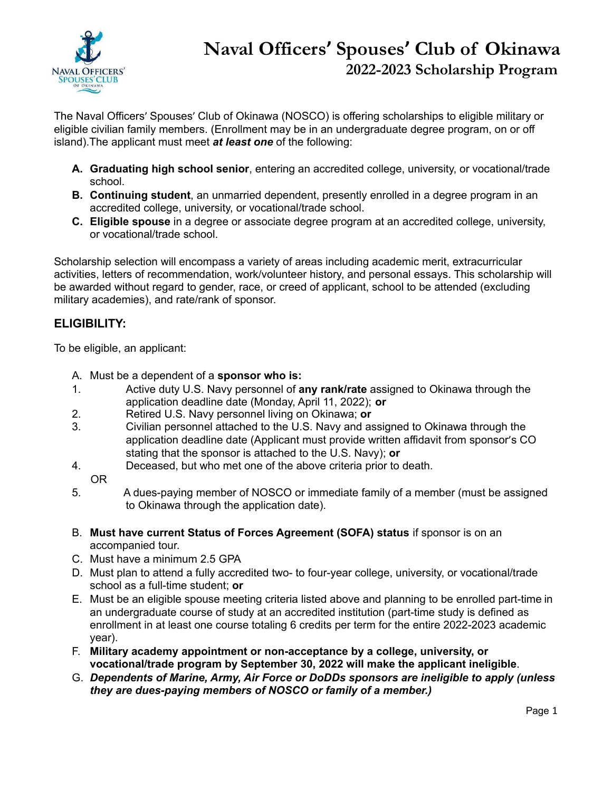

## **Naval Officers' Spouses' Club of Okinawa 2022-2023 Scholarship Program**

The Naval Officers' Spouses' Club of Okinawa (NOSCO) is offering scholarships to eligible military or eligible civilian family members. (Enrollment may be in an undergraduate degree program, on or off island).The applicant must meet *at least one* of the following:

- **A. Graduating high school senior**, entering an accredited college, university, or vocational/trade school.
- **B. Continuing student**, an unmarried dependent, presently enrolled in a degree program in an accredited college, university, or vocational/trade school.
- **C. Eligible spouse** in a degree or associate degree program at an accredited college, university, or vocational/trade school.

Scholarship selection will encompass a variety of areas including academic merit, extracurricular activities, letters of recommendation, work/volunteer history, and personal essays. This scholarship will be awarded without regard to gender, race, or creed of applicant, school to be attended (excluding military academies), and rate/rank of sponsor.

## **ELIGIBILITY:**

To be eligible, an applicant:

- A. Must be a dependent of a **sponsor who is:**
- 1. Active duty U.S. Navy personnel of **any rank/rate** assigned to Okinawa through the application deadline date (Monday, April 11, 2022); **or**
- 2. Retired U.S. Navy personnel living on Okinawa; **or**
- 3. Civilian personnel attached to the U.S. Navy and assigned to Okinawa through the application deadline date (Applicant must provide written affidavit from sponsor's CO stating that the sponsor is attached to the U.S. Navy); **or**
- 4. Deceased, but who met one of the above criteria prior to death.
	- OR
- 5. A dues-paying member of NOSCO or immediate family of a member (must be assigned to Okinawa through the application date).
- B. **Must have current Status of Forces Agreement (SOFA) status** if sponsor is on an accompanied tour.
- C. Must have a minimum 2.5 GPA
- D. Must plan to attend a fully accredited two- to four-year college, university, or vocational/trade school as a full-time student; **or**
- E. Must be an eligible spouse meeting criteria listed above and planning to be enrolled part-time in an undergraduate course of study at an accredited institution (part-time study is defined as enrollment in at least one course totaling 6 credits per term for the entire 2022-2023 academic year).
- F. **Military academy appointment or non-acceptance by a college, university, or vocational/trade program by September 30, 2022 will make the applicant ineligible**.
- G. *Dependents of Marine, Army, Air Force or DoDDs sponsors are ineligible to apply (unless they are dues-paying members of NOSCO or family of a member.)*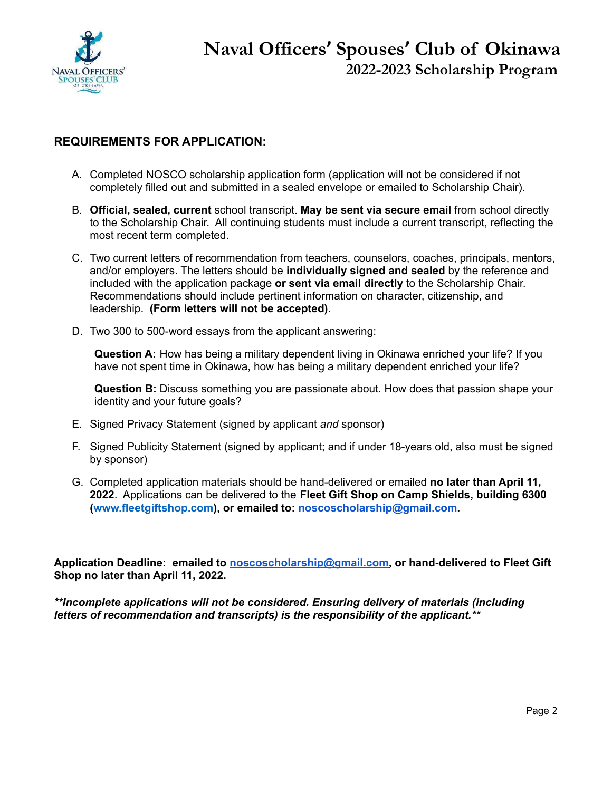

### **REQUIREMENTS FOR APPLICATION:**

- A. Completed NOSCO scholarship application form (application will not be considered if not completely filled out and submitted in a sealed envelope or emailed to Scholarship Chair).
- B. **Official, sealed, current** school transcript. **May be sent via secure email** from school directly to the Scholarship Chair. All continuing students must include a current transcript, reflecting the most recent term completed.
- C. Two current letters of recommendation from teachers, counselors, coaches, principals, mentors, and/or employers. The letters should be **individually signed and sealed** by the reference and included with the application package **or sent via email directly** to the Scholarship Chair. Recommendations should include pertinent information on character, citizenship, and leadership. **(Form letters will not be accepted).**
- D. Two 300 to 500-word essays from the applicant answering:

**Question A:** How has being a military dependent living in Okinawa enriched your life? If you have not spent time in Okinawa, how has being a military dependent enriched your life?

**Question B:** Discuss something you are passionate about. How does that passion shape your identity and your future goals?

- E. Signed Privacy Statement (signed by applicant *and* sponsor)
- F. Signed Publicity Statement (signed by applicant; and if under 18-years old, also must be signed by sponsor)
- G. Completed application materials should be hand-delivered or emailed **no later than April 11, 2022**. Applications can be delivered to the **Fleet Gift Shop on Camp Shields, building 6300 ([www.fleetgiftshop.com\)](http://www.fleetgiftshop.com), or emailed to: [noscoscholarship@gmail.com](mailto:noscoscholarship@gmail.com).**

**Application Deadline: emailed to [noscoscholarship@gmail.com](mailto:noscoscholarship@gmail.com), or hand-delivered to Fleet Gift Shop no later than April 11, 2022.**

*\*\*Incomplete applications will not be considered. Ensuring delivery of materials (including letters of recommendation and transcripts) is the responsibility of the applicant.\*\**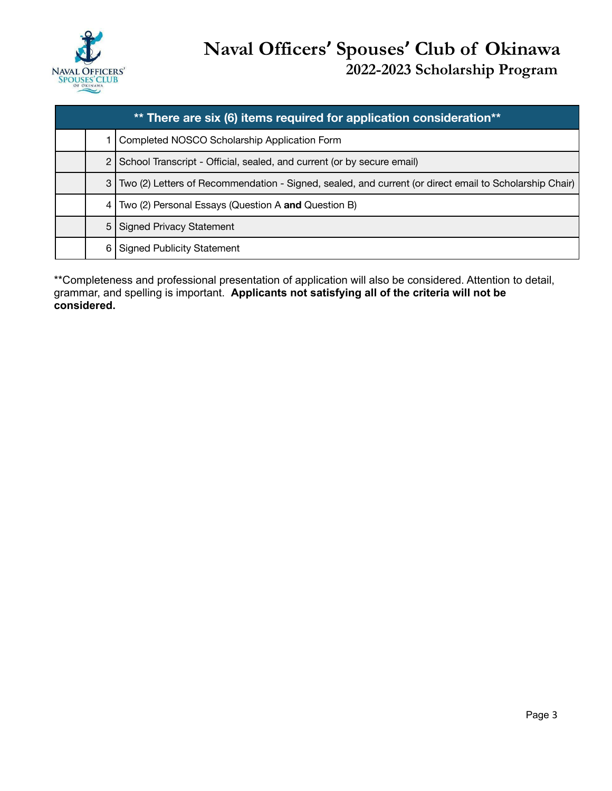

| ** There are six (6) items required for application consideration** |   |                                                                                                            |  |  |
|---------------------------------------------------------------------|---|------------------------------------------------------------------------------------------------------------|--|--|
|                                                                     |   | Completed NOSCO Scholarship Application Form                                                               |  |  |
|                                                                     |   | 2   School Transcript - Official, sealed, and current (or by secure email)                                 |  |  |
|                                                                     |   | 3   Two (2) Letters of Recommendation - Signed, sealed, and current (or direct email to Scholarship Chair) |  |  |
|                                                                     |   | 4   Two (2) Personal Essays (Question A and Question B)                                                    |  |  |
|                                                                     |   | 5 Signed Privacy Statement                                                                                 |  |  |
|                                                                     | 6 | <b>Signed Publicity Statement</b>                                                                          |  |  |

\*\*Completeness and professional presentation of application will also be considered. Attention to detail, grammar, and spelling is important. **Applicants not satisfying all of the criteria will not be considered.**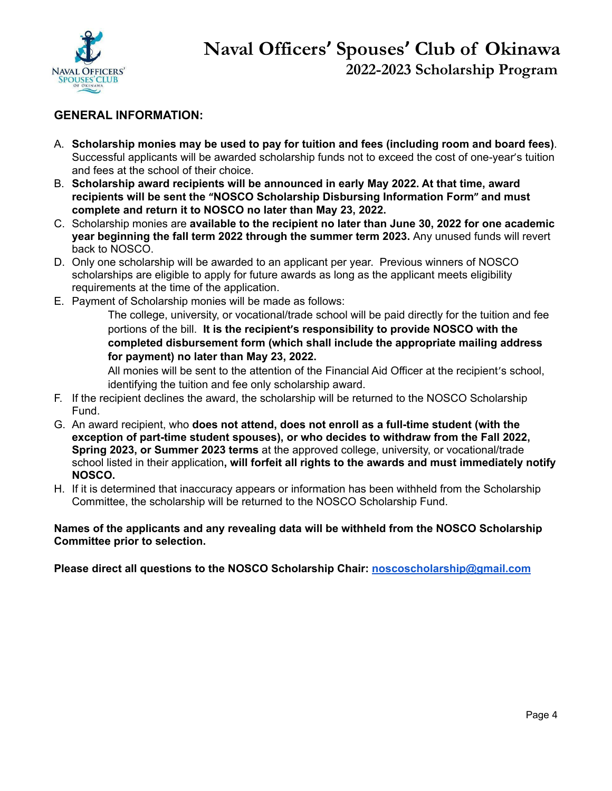

## **GENERAL INFORMATION:**

- A. **Scholarship monies may be used to pay for tuition and fees (including room and board fees)**. Successful applicants will be awarded scholarship funds not to exceed the cost of one-year's tuition and fees at the school of their choice.
- B. **Scholarship award recipients will be announced in early May 2022. At that time, award recipients will be sent the "NOSCO Scholarship Disbursing Information Form" and must complete and return it to NOSCO no later than May 23, 2022.**
- C. Scholarship monies are **available to the recipient no later than June 30, 2022 for one academic year beginning the fall term 2022 through the summer term 2023.** Any unused funds will revert back to NOSCO.
- D. Only one scholarship will be awarded to an applicant per year. Previous winners of NOSCO scholarships are eligible to apply for future awards as long as the applicant meets eligibility requirements at the time of the application.
- E. Payment of Scholarship monies will be made as follows:

The college, university, or vocational/trade school will be paid directly for the tuition and fee portions of the bill. **It is the recipient's responsibility to provide NOSCO with the completed disbursement form (which shall include the appropriate mailing address for payment) no later than May 23, 2022.**

All monies will be sent to the attention of the Financial Aid Officer at the recipient's school, identifying the tuition and fee only scholarship award.

- F. If the recipient declines the award, the scholarship will be returned to the NOSCO Scholarship Fund.
- G. An award recipient, who **does not attend, does not enroll as a full-time student (with the exception of part-time student spouses), or who decides to withdraw from the Fall 2022, Spring 2023, or Summer 2023 terms** at the approved college, university, or vocational/trade school listed in their application**, will forfeit all rights to the awards and must immediately notify NOSCO.**
- H. If it is determined that inaccuracy appears or information has been withheld from the Scholarship Committee, the scholarship will be returned to the NOSCO Scholarship Fund.

#### **Names of the applicants and any revealing data will be withheld from the NOSCO Scholarship Committee prior to selection.**

**Please direct all questions to the NOSCO Scholarship Chair: [noscoscholarship@gmail.com](mailto:noscoscholarship@gmail.com)**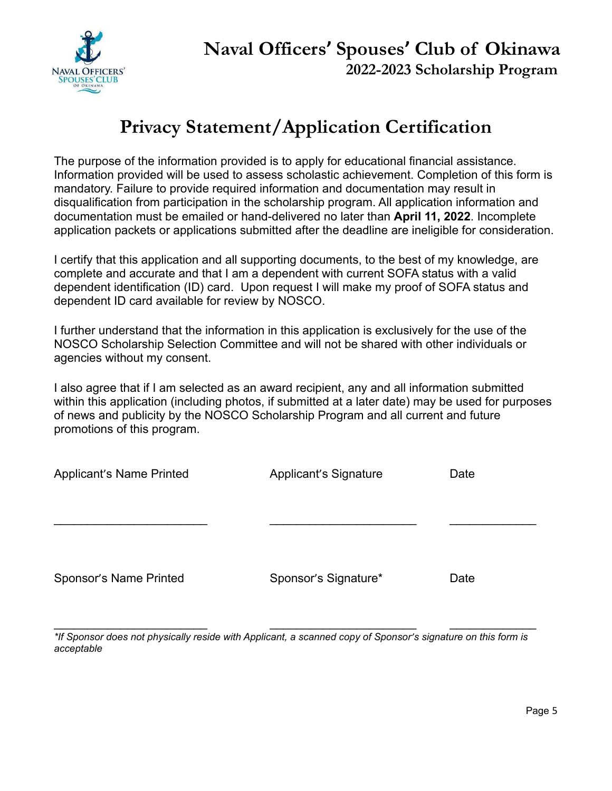

## **Privacy Statement/Application Certification**

The purpose of the information provided is to apply for educational financial assistance. Information provided will be used to assess scholastic achievement. Completion of this form is mandatory. Failure to provide required information and documentation may result in disqualification from participation in the scholarship program. All application information and documentation must be emailed or hand-delivered no later than **April 11, 2022**. Incomplete application packets or applications submitted after the deadline are ineligible for consideration.

I certify that this application and all supporting documents, to the best of my knowledge, are complete and accurate and that I am a dependent with current SOFA status with a valid dependent identification (ID) card. Upon request I will make my proof of SOFA status and dependent ID card available for review by NOSCO.

I further understand that the information in this application is exclusively for the use of the NOSCO Scholarship Selection Committee and will not be shared with other individuals or agencies without my consent.

I also agree that if I am selected as an award recipient, any and all information submitted within this application (including photos, if submitted at a later date) may be used for purposes of news and publicity by the NOSCO Scholarship Program and all current and future promotions of this program.

| <b>Applicant's Name Printed</b> | <b>Applicant's Signature</b> | Date |
|---------------------------------|------------------------------|------|
|                                 |                              |      |
|                                 |                              |      |
| Sponsor's Name Printed          | Sponsor's Signature*         | Date |

\*If Sponsor does not physically reside with Applicant, a scanned copy of Sponsor's signature on this form is *acceptable*

\_\_\_\_\_\_\_\_\_\_\_\_\_\_\_\_\_\_\_\_\_\_\_ \_\_\_\_\_\_\_\_\_\_\_\_\_\_\_\_\_\_\_\_\_\_ \_\_\_\_\_\_\_\_\_\_\_\_\_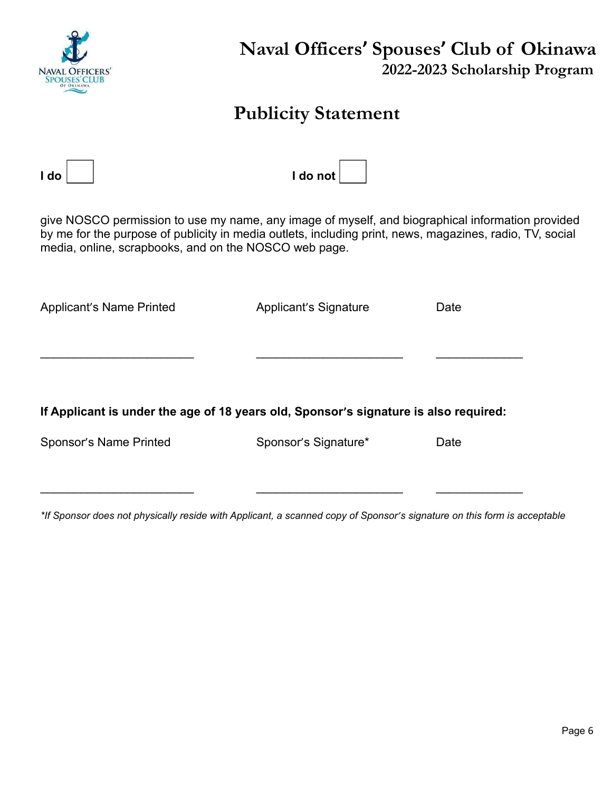

## **Naval Officers' Spouses' Club of Okinawa 2022-2023 Scholarship Program**

## **Publicity Statement**

| l do                                                                                                                                                                                                                                                                  | I do not              |      |  |  |  |
|-----------------------------------------------------------------------------------------------------------------------------------------------------------------------------------------------------------------------------------------------------------------------|-----------------------|------|--|--|--|
| give NOSCO permission to use my name, any image of myself, and biographical information provided<br>by me for the purpose of publicity in media outlets, including print, news, magazines, radio, TV, social<br>media, online, scrapbooks, and on the NOSCO web page. |                       |      |  |  |  |
| <b>Applicant's Name Printed</b>                                                                                                                                                                                                                                       | Applicant's Signature | Date |  |  |  |
| If Applicant is under the age of 18 years old, Sponsor's signature is also required:                                                                                                                                                                                  |                       |      |  |  |  |
| Sponsor's Name Printed                                                                                                                                                                                                                                                | Sponsor's Signature*  | Date |  |  |  |
|                                                                                                                                                                                                                                                                       |                       |      |  |  |  |

\*If Sponsor does not physically reside with Applicant, a scanned copy of Sponsor's signature on this form is acceptable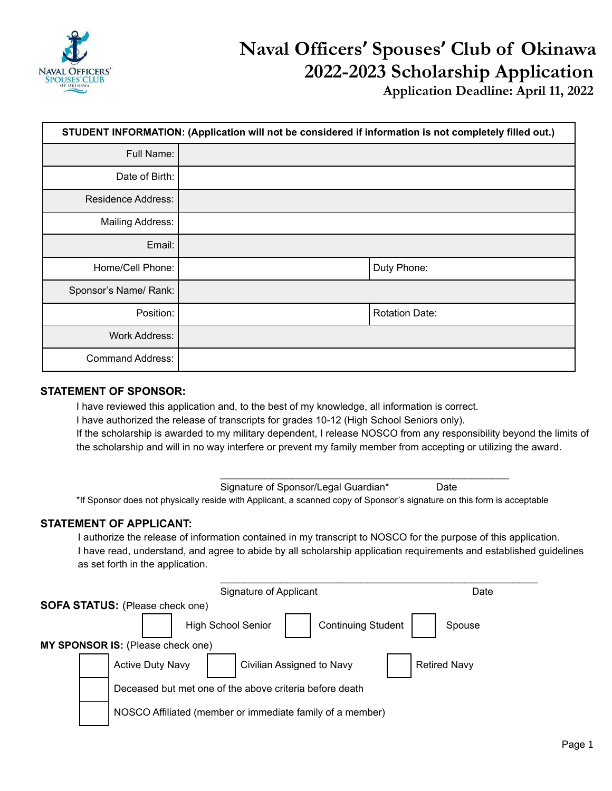

**Application Deadline: April 11, 2022**

| STUDENT INFORMATION: (Application will not be considered if information is not completely filled out.) |  |                       |  |
|--------------------------------------------------------------------------------------------------------|--|-----------------------|--|
| Full Name:                                                                                             |  |                       |  |
| Date of Birth:                                                                                         |  |                       |  |
| <b>Residence Address:</b>                                                                              |  |                       |  |
| <b>Mailing Address:</b>                                                                                |  |                       |  |
| Email:                                                                                                 |  |                       |  |
| Home/Cell Phone:                                                                                       |  | Duty Phone:           |  |
| Sponsor's Name/ Rank:                                                                                  |  |                       |  |
| Position:                                                                                              |  | <b>Rotation Date:</b> |  |
| <b>Work Address:</b>                                                                                   |  |                       |  |
| <b>Command Address:</b>                                                                                |  |                       |  |

#### **STATEMENT OF SPONSOR:**

I have reviewed this application and, to the best of my knowledge, all information is correct. I have authorized the release of transcripts for grades 10-12 (High School Seniors only). If the scholarship is awarded to my military dependent, I release NOSCO from any responsibility beyond the limits of the scholarship and will in no way interfere or prevent my family member from accepting or utilizing the award.

\_\_\_\_\_\_\_\_\_\_\_\_\_\_\_\_\_\_\_\_\_\_\_\_\_\_\_\_\_\_\_\_\_\_\_\_\_\_\_\_\_\_\_\_\_\_\_\_\_\_\_\_

Signature of Sponsor/Legal Guardian\* Date \*If Sponsor does not physically reside with Applicant, a scanned copy of Sponsor's signature on this form is acceptable

#### **STATEMENT OF APPLICANT:**

I authorize the release of information contained in my transcript to NOSCO for the purpose of this application. I have read, understand, and agree to abide by all scholarship application requirements and established guidelines as set forth in the application.

|  | Signature of Applicant                                    | Date                |
|--|-----------------------------------------------------------|---------------------|
|  | <b>SOFA STATUS:</b> (Please check one)                    |                     |
|  | <b>High School Senior</b><br><b>Continuing Student</b>    | Spouse              |
|  | MY SPONSOR IS: (Please check one)                         |                     |
|  | <b>Active Duty Navy</b><br>Civilian Assigned to Navy      | <b>Retired Navy</b> |
|  | Deceased but met one of the above criteria before death   |                     |
|  | NOSCO Affiliated (member or immediate family of a member) |                     |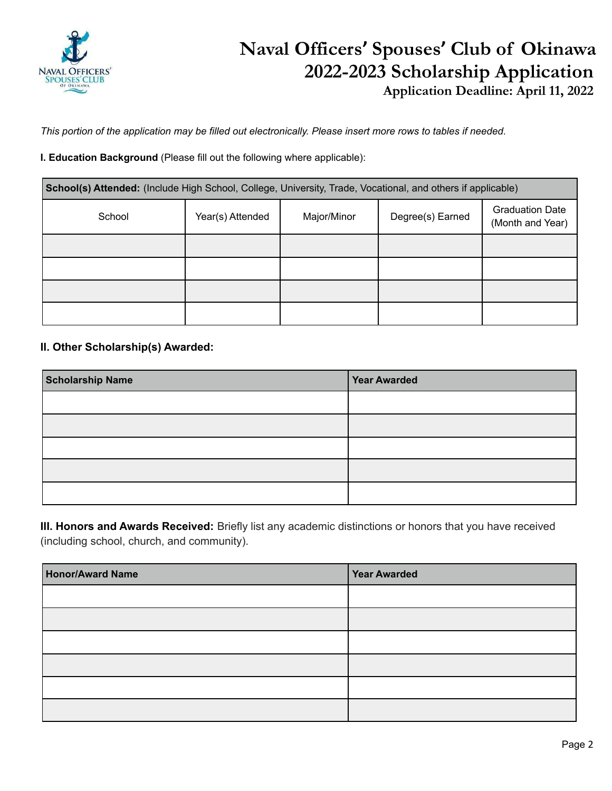

**Application Deadline: April 11, 2022**

This portion of the application may be filled out electronically. Please insert more rows to tables if needed.

**I. Education Background** (Please fill out the following where applicable):

| School(s) Attended: (Include High School, College, University, Trade, Vocational, and others if applicable) |                  |             |                  |                                            |  |
|-------------------------------------------------------------------------------------------------------------|------------------|-------------|------------------|--------------------------------------------|--|
| School                                                                                                      | Year(s) Attended | Major/Minor | Degree(s) Earned | <b>Graduation Date</b><br>(Month and Year) |  |
|                                                                                                             |                  |             |                  |                                            |  |
|                                                                                                             |                  |             |                  |                                            |  |
|                                                                                                             |                  |             |                  |                                            |  |
|                                                                                                             |                  |             |                  |                                            |  |

#### **II. Other Scholarship(s) Awarded:**

| <b>Scholarship Name</b> | <b>Year Awarded</b> |
|-------------------------|---------------------|
|                         |                     |
|                         |                     |
|                         |                     |
|                         |                     |
|                         |                     |

**III. Honors and Awards Received:** Briefly list any academic distinctions or honors that you have received (including school, church, and community).

| <b>Honor/Award Name</b> | Year Awarded |
|-------------------------|--------------|
|                         |              |
|                         |              |
|                         |              |
|                         |              |
|                         |              |
|                         |              |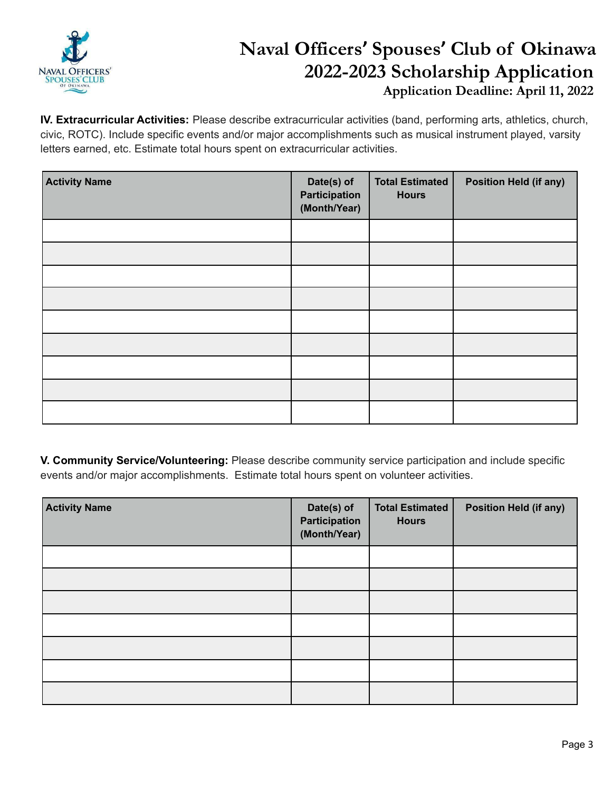

**Application Deadline: April 11, 2022**

**IV. Extracurricular Activities:** Please describe extracurricular activities (band, performing arts, athletics, church, civic, ROTC). Include specific events and/or major accomplishments such as musical instrument played, varsity letters earned, etc. Estimate total hours spent on extracurricular activities.

| <b>Activity Name</b> | Date(s) of<br>Participation<br>(Month/Year) | <b>Total Estimated</b><br><b>Hours</b> | <b>Position Held (if any)</b> |
|----------------------|---------------------------------------------|----------------------------------------|-------------------------------|
|                      |                                             |                                        |                               |
|                      |                                             |                                        |                               |
|                      |                                             |                                        |                               |
|                      |                                             |                                        |                               |
|                      |                                             |                                        |                               |
|                      |                                             |                                        |                               |
|                      |                                             |                                        |                               |
|                      |                                             |                                        |                               |
|                      |                                             |                                        |                               |

**V. Community Service/Volunteering:** Please describe community service participation and include specific events and/or major accomplishments. Estimate total hours spent on volunteer activities.

| <b>Activity Name</b> | Date(s) of<br>Participation<br>(Month/Year) | <b>Total Estimated</b><br><b>Hours</b> | <b>Position Held (if any)</b> |
|----------------------|---------------------------------------------|----------------------------------------|-------------------------------|
|                      |                                             |                                        |                               |
|                      |                                             |                                        |                               |
|                      |                                             |                                        |                               |
|                      |                                             |                                        |                               |
|                      |                                             |                                        |                               |
|                      |                                             |                                        |                               |
|                      |                                             |                                        |                               |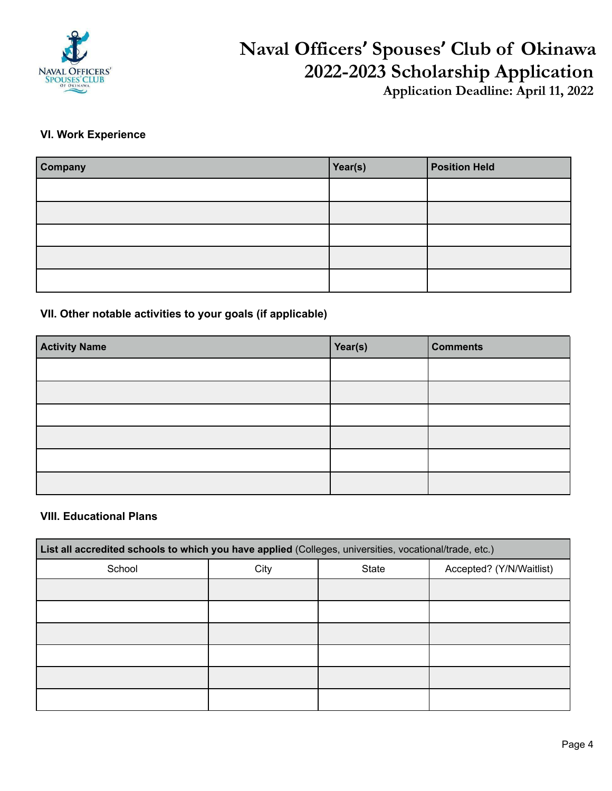

**Application Deadline: April 11, 2022**

### **VI. Work Experience**

| Company | Year(s) | <b>Position Held</b> |
|---------|---------|----------------------|
|         |         |                      |
|         |         |                      |
|         |         |                      |
|         |         |                      |
|         |         |                      |

### **VII. Other notable activities to your goals (if applicable)**

| <b>Activity Name</b> | Year(s) | <b>Comments</b> |
|----------------------|---------|-----------------|
|                      |         |                 |
|                      |         |                 |
|                      |         |                 |
|                      |         |                 |
|                      |         |                 |
|                      |         |                 |

#### **VIII. Educational Plans**

| List all accredited schools to which you have applied (Colleges, universities, vocational/trade, etc.) |      |       |                          |
|--------------------------------------------------------------------------------------------------------|------|-------|--------------------------|
| School                                                                                                 | City | State | Accepted? (Y/N/Waitlist) |
|                                                                                                        |      |       |                          |
|                                                                                                        |      |       |                          |
|                                                                                                        |      |       |                          |
|                                                                                                        |      |       |                          |
|                                                                                                        |      |       |                          |
|                                                                                                        |      |       |                          |